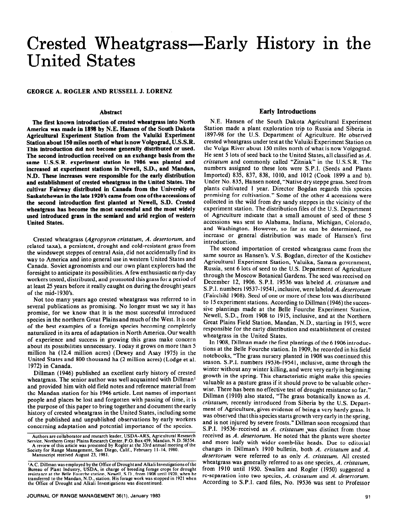# Crested Wheatgrass-Early History in the United States

#### **GEORGE A. ROGLER AND RUSSELL J. LORENZ**

#### **Abstract**

**The first known introduction of crested wheatgrass into North America was made in 1898 by N.E. Hansen of the South Dakota Agricultural Experiment Station from the Valuiki Experiment Station about 150 miles north of what is now Volgograd, U.S.S.R. This introduction did not become generally distributed or used. The second introduction received on an exchange basis from the same U.S.S.R. experiment station in 1906 was planted and increased at experiment stations in Newell, S.D., and Mandan, N.D. These increases were responsible for the early distribution and establishment of crested wheatgrass in the United States. The cultivar Fairway distributed in Canada from the University of Saskatchewan in the late 1920's came from one of the accessions of the second introduction first planted at Newell, S.D. Crested wheatgrass has become the most successful and the most widely used introduced grass in the semiard and arid region of western United States.** 

Crested wheatgrass *(Agropyron cristatum, A. desertorum,* and related taxa), a persistent, drought and cold-resistant grass from the windswept steppes of central Asia, did not accidentally find its way to America and into general use in western United States and Canada. Soviet agronomists and our own plant explorers had the foresight to anticipate its possibilities. A few enthusiastic early-day workers tested, distributed, and promoted this grass for a period of at least 25 years before it really caught on during the drought years of the mid-1930's.

Not too many years ago crested wheatgrass was referred to in several publications as promising. No longer must we say it has promise, for we know that it is the most successful introduced species in the northern Great Plainsand much of the West. It is one of the best examples of a foreign species becoming completely naturalized in its area of adaptation in North America. Our wealth of experience and success in growing this grass make concern about its possibilities unnecessary. Today it grows on more than 5 million ha (12.4 million acres) (Dewey and Asay 1975) in the United States and 800 thousand ha (2 million acres) (Lodge et al. 1972) in Canada.

Dillman (1946) published an excellent early history of crested wheatgrass. The senior author was well acquainted with Dillmani and provided him with old field notes and reference material from the Mandan station for his 1946 article. Lest names of important people and places be lost and forgotten with passing of time, it is the purpose of this paper to bring together and document the early history of crested wheatgrass in the United States, including some of the published and unpublished observations by early workers concerning adaptation and potential importance of the species.

**Society for Range Management, San Diego, Calif., February I I-14. 1980. Manuscript received August 23, I98** I.

## **Early Introductions**

N.E. Hansen of the South Dakota' Agricultural Experiment Station made a plant exploration trip to Russia and Siberia in 1897-98 for the U.S. Department of Agriculture. He observed crested wheatgrass under test at the Valuiki Experiment Station on the Volga River about 150 miles north of what is now Volgograd. He sent 5 lots of seed back to the United States, all classified as *A. crisrarum* and commonly called "Zitniak" in the U.S.S.R. The numbers assigned to these lots were S.P.I. (Seeds and Plants Imported) 835, 837, 838, 1010, and 1012 (Cook 1899 a and b). Under No. 835, Hansen noted, "Native dry steppe grass. Seed from plants cultivated I year. Director Bogdan regards this species promising for cultivation." Some of the other 4 accessions were collected in the wild from dry sandy steppes in the vicinity of the experiment station. The distribution files of the U.S. Department of Agriculture indicate that a small amount of seed of these 5 accessions was sent to Alabama, Indiana, Michigan, Colorado, and Washington. However, so far as can be determined, no increase or general distribution was made of Hansen's first introduction.

The second importation of crested wheatgrass came from the same source as Hansen's. V.S. Bogdan, director of the Kostichev Agricultural Experiment Station, Valuika, Samara government, Russia, sent 6 lots of seed to the U.S. Department of Agriculture through the Moscow Botanical Gardens. The seed was received on December 12, 1906. S.P.I. 19536 was labeled *A. cristatum* and S.P.I. numbers 19537-19541, inclusive, were labeled *A. desertorum*  (Fairchild 1908). Seed of one or more of these lots was distributed to I5 experiment stations. According to Dillman ( 1946) the successive plantings made at the Belle Fourche Experiment Station, Newell, S.D., from 1908 to 1915, inclusive, and at the Northern Great Plains Field Station, Mandan, N.D., starting in *I91 5,* were responsible for the early distribution and establishment of crested wheatgrass in the United States.

In 1908, Dillman made the first plantings of the 6 1906 introductions at the Belle Fourche station. In 1909, he recorded in his field notebooks, "The grass nursery planted in 1908 was continued this season. S.P.I. numbers 19536-19541, inclusive, came through the winter without any winter killing, and were very early in beginning growth in the spring. This characteristic might make this species valuable as a pasture grass if it should prove to be valuable otherwise. There has been no effective test of drought resistance so far." Dillman (1910) also stated, "The grass botanically known as *A. cristatum,* recently introduced from Siberia by the U.S. Department of Agriculture, gives evidence of being a very hardy grass. It was observed that this species starts growth very early in the spring, and is not injured by severe frosts." Dillman soon recognized that S.P.I. 19536-received as *A. cristatum* was distinct from those received as *A. desertorum.* He noted that the plants were shorter and more leafy with wider comb-like heads. Due to editorial changes in Dillman's 1910 bulletin, both *A. crisratum* and *A. desertorum* were referred to as only *A. cristatum.* All crested wheatgrass was generally referred to as one species, *A. cristatum,*  from 1910 until 1950. Swallen and Rogler (1950) suggested a re-separation into two species, *A. cristatum* and *A. desertorum.*  According to S.P.I. card files, No. 19536 was sent to Professor

**Authors are collaborator and research leader, USDA-AR& Agricultural Research Service, Northern Great Plains Research Center, P.O. Box 459, Mandan, N.D. 58554. A review of this article was presented by Rogler at the 33rd annual meeting of the** 

**<sup>1</sup>A.C. Dillman wasemployed by the Office of Droughtand Alkali lnvestigationsofthe Bureau of Plant Industry, USDA, in charge of breeding forage crops for drought resistance at the Belle Fourche station. Newell, S.D., from 1908 until 1920. when he transferred to the Mandan, N.D., station. His forage work was stopped in 1921 when the Office of Drought and Alkali Investigations was discontinued.**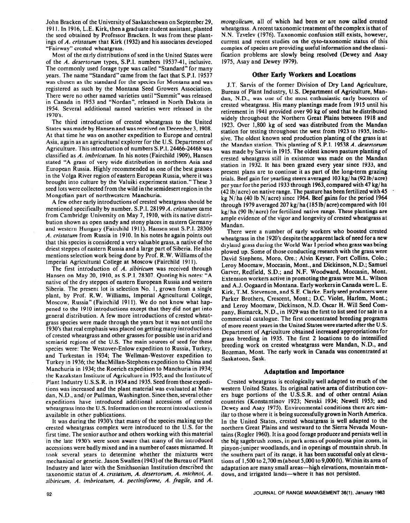John Bracken of the University of Saskatchewan on September 29, 19 11. In 1916, L.E. Kirk, then agraduate student assistant, planted the seed obtained by Professor Bracken. It was from these plantings of A. *crisfatum* that Kirk (1932) and his associates developed "Fairway" crested wheatgrass.

Most of the early distributions of seed in the United States were of the A. *desertorum* types, S.P.I. numbers 1953741, inclusive. The commonly used forage type was called "Standard" for many years. The name "Standard" came from the fact that S.P.I. 19537 was chosen as the standard for the species for Montana and was registered as such by the Montana Seed Growers Association. There were no other named varieties until "Summit" was released in Canada in 1953 and "Nordan", released in North Dakota in 1954. Several additional named varieties were released in the 1970's.

The third introduction of crested wheatgrass to the United States was made by Hansenand was received on December 3, 1908. At that time he was on another expedition to Europe and central Asia, again as an agricultural explorer for the U.S. Department of Agriculture. This introduction of numbers S.P.I. 24466-24468 was classified as A. *imbricatum*. In his notes (Fairchild 1909), Hansen stated "A grass of very wide distribution in northern Asia and European Russia. Highly recommended as one of the best grasses in the Volga River region of eastern European Russia, where it was brought into culture by the Valuiki experiment station."These 3 seed lots were collected from the wild in the semidesert region in the Mongoiian part of northwestern Manchuria.

A few other early introductions of crested wheatgrass should be mentioned specifically by number. S.P.I. 28199A. *cristutum* came from Cambridge University on May 7, 1910, with its native distribution shown as open sandy and stony places in eastern Germany and western Hungary (Fairchild 1911). Hansen sent S.P.I. 28306 A. *cristutum* from Russia in 1910. In his notes heagain points out that this species is considered a very valuable grass, a native of the driest steppes of eastern Russia and a large part of Siberia. He also mentions selection work being done by Prof. R.W. Williams of the Imperial Agricultural College at Moscow (Fairchild 1911).

The first introduction of A. *sibiricum* was received through Hansen on May 20, 1910, as S.P.I. 28307. Quoting his notes: "A native of the dry steppes of eastern European Russia and western Siberia. The present lot is selection No. I, grown from a single plant, by Prof. R.W. Williams, Imperial Agricultural College, Moscow, Russia" (Fairchild 1911). We do not know what happened to the 1910 introductions except that they did not get into general distribution. A few more introductions of crested wheatgrass species were made through the years but it was not until the 1930's that real emphasis was placed on getting many introductions of crested wheatgrass and other grasses for possible use in arid and semiarid regions of the U.S. The main sources of seed for these species were: The Westover-Enlow expedition to Russia, Turkey, and Turkestan in 1934; The Wellman-Westover expedition to Turkey in 1936; the MacMillan-Stephens expedition to China and Manchuria in 1934; the Roerich expedition to Manchuria in 1934; the Kazakstan Institute of Agriculture in 1935; and the Institute of Plant Industry U.S.S.R. in 1934 and 1935. Seed from these expeditions was increased and the plant material was evaluated at Mandan, N.D., and/ or Pullman, Washington. Since then, several other expeditions have introduced additional accessions of crested wheatgrass into the U.S. Information on the recent introductions is available in other publications.

It was during the 1930's that many of the species making up the crested wheatgrass complex were introduced to the U.S. for the first time. The senior author and others working with this material in the late 1930's were soon aware that many of the introduced accessions were badly mixed and in a number of cases misnamed. It took several years to determine whether the mixtures were mechanical or genetic. Jason Swallen (1943) of the Bureau of Plant Industry and later with the Smithsonian Institution described the taxonomic status of *A. cristatum, A. desertorum, A. michnoi. A. sibiricum, A. imbricatum, A. pectiniforme, A. fragile,* and *A.*  *mongolicum,* all of which had been or are now called crested wheatgrass. A recent taxonomic treatment of the complex is that of N.N. Tzvelev (1976). Taxonomic confusion still exists, however, current and recent studies on the cyto-taxonomic status of this complex of species are providing useful information and the classification problems are slowly being resolved (Dewey and Asay 1975, Asay and Dewey 1979).

## **Other Early Workers and Locations**

J.T. Sarvis of the former Division of Dry Land Agriculture, Bureau of Plant Industry, U.S. Department of Agriculture, Mandan, N.D., was one of the most enthusiastic early boosters of crested wheatgrass. His many plantings made from 19 15 until his retirement in 1941 provided over 90 kg of seed that he distributed widely throughout the Northern Great Plains between 1918 and 1923. Over 1,800 kg of seed was distributed from the Mandan station for testing throughout the west from 1923 to 1935, inclusive. The oldest known seed production planting of the grass is at the Mandan station. This planting of S.P.I. I9538 *A. desertorum*  was made by Sarvis in 1915. The oldest known pasture planting of crested wheatgrass still in existence was made on the Mandan station in 1932. It has been grazed every year since 1933, and present plans are to continue it as part of the long-term grazing trials. Beef gain for yearling steers averaged 103 kg/ ha (92 lb/acre) per year for the period 1933 through 1963, compared with 47 kg/ ha  $(42 lb/acre)$  on native range. The pasture has been fertilized with 45 kg N/ha (40 lb N/acre) since 1964. Beef gains for the period 1964 through 1979 averaged 207 kg/ ha (185 lb/acre) compared with 101 kg/ ha (90 lb/acre) for fertilized native range. These plantings are ample evidence of the vigor and longevity of crested wheatgrass at Mandan.

There were a number of early workers who boosted crested wheatgrass in the 1920's despite the apparent lack of need for a new dryland grass during the World War I period when grass was being plowed up. Some of those conducting research with the grass were David Stephens, Moro, Ore.; Alvin Keyser, Fort Collins, Colo.; Leroy Moomaw, Moccasin, Mont., and Dickinson, N.D.; Samuel Garver, Redfield, S.D.; and N.F. Woodward, Moccasin, Mont. Extension workers active in promoting thegrass were M.L. Wilson and A.J. Oogaard in Montana. Early workersin Canada were L. E. Kirk, T.M. Stevenson, and S.E. Clarke. Early **seed** producers were Parker Brothers, Crescent, Mont.; D.C. Violet, Harlem, Mont.; and Leroy Moomaw, Dickinson, N.D. Oscar H. Will Seed Company, Bismarck, N.D., in 1929 was the first to list seed for sale in a commercial catalogue. The first concentrated breeding programs of more recent years in the United States were started after the U.S. Department of Agriculture obtained increased appropriations **for**  grass breeding in 1935. The first 2 locations to do intensified breeding work on crested wheatgrass were Mandan, **N.D.,** and Bozeman, Mont. The early work in Canada was concentrated at Saskatoon, Sask.

## **Adaptation and Importance**

Crested wheatgrass is ecologically well adapted to much of the western United States. Its original native area of distribution covers huge portions of the U.S.S.R. and of other central Asian countries (Konstantinov 1923; Nevski 1934; Newell 1953; and Dewey and Asay 1975). Environmental conditions there are similar to those where it is being **successfully** grown in North America. In the United States, crested wheatgrass is well adapted to the northern Great Plains and westward to the Sierra Nevada Mountains (Rogler 1960). It is a good forage producerand persists well in the big sagebrush zones, in park areas of ponderosa pine zones, in pinyon-juniper woodlands, and in openings of mountain shrub. In the southern part of its range, it has been successful only at elevations of 1,500 to 2,700 m (about 5,000 to 9,000 ft). Within its area of adaptation are many small areas—high elevations, mountain meadows, and irrigated lands-where it has not persisted.